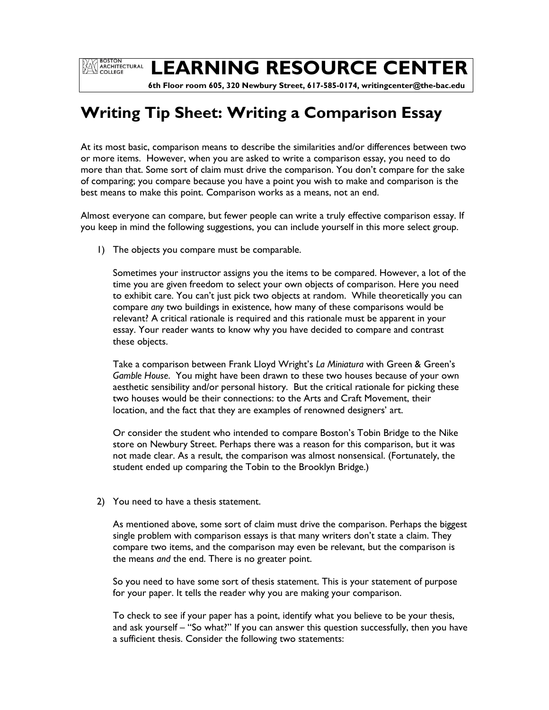**EXAMPLE BOSTON<br>COLLEGE** 

# **LEARNING RESOURCE CENTER**

 **6th Floor room 605, 320 Newbury Street, 617-585-0174, writingcenter@the-bac.edu**

## **Writing Tip Sheet: Writing a Comparison Essay**

At its most basic, comparison means to describe the similarities and/or differences between two or more items. However, when you are asked to write a comparison essay, you need to do more than that. Some sort of claim must drive the comparison. You don't compare for the sake of comparing; you compare because you have a point you wish to make and comparison is the best means to make this point. Comparison works as a means, not an end.

Almost everyone can compare, but fewer people can write a truly effective comparison essay. If you keep in mind the following suggestions, you can include yourself in this more select group.

1) The objects you compare must be comparable.

Sometimes your instructor assigns you the items to be compared. However, a lot of the time you are given freedom to select your own objects of comparison. Here you need to exhibit care. You can't just pick two objects at random. While theoretically you can compare *any* two buildings in existence, how many of these comparisons would be relevant? A critical rationale is required and this rationale must be apparent in your essay. Your reader wants to know why you have decided to compare and contrast these objects.

Take a comparison between Frank Lloyd Wright's *La Miniatura* with Green & Green's *Gamble House*. You might have been drawn to these two houses because of your own aesthetic sensibility and/or personal history. But the critical rationale for picking these two houses would be their connections: to the Arts and Craft Movement, their location, and the fact that they are examples of renowned designers' art.

Or consider the student who intended to compare Boston's Tobin Bridge to the Nike store on Newbury Street. Perhaps there was a reason for this comparison, but it was not made clear. As a result, the comparison was almost nonsensical. (Fortunately, the student ended up comparing the Tobin to the Brooklyn Bridge.)

#### 2) You need to have a thesis statement.

As mentioned above, some sort of claim must drive the comparison. Perhaps the biggest single problem with comparison essays is that many writers don't state a claim. They compare two items, and the comparison may even be relevant, but the comparison is the means *and* the end. There is no greater point.

So you need to have some sort of thesis statement. This is your statement of purpose for your paper. It tells the reader why you are making your comparison.

To check to see if your paper has a point, identify what you believe to be your thesis, and ask yourself – "So what?" If you can answer this question successfully, then you have a sufficient thesis. Consider the following two statements: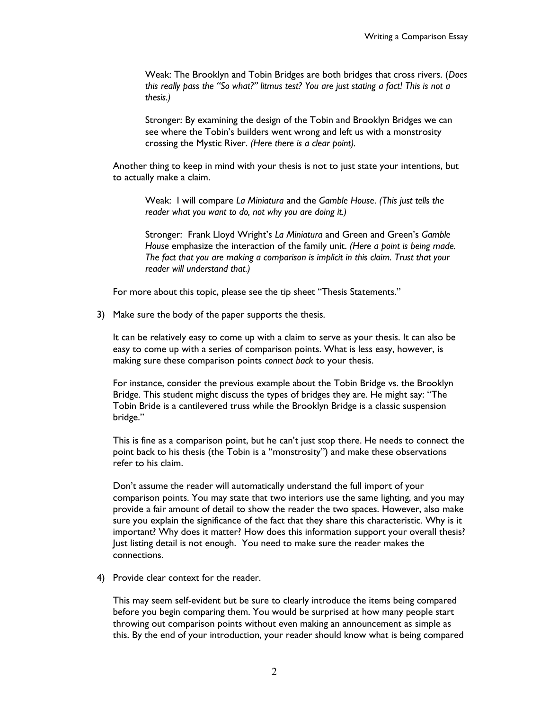Weak: The Brooklyn and Tobin Bridges are both bridges that cross rivers. (*Does this really pass the "So what?" litmus test? You are just stating a fact! This is not a thesis.)*

Stronger: By examining the design of the Tobin and Brooklyn Bridges we can see where the Tobin's builders went wrong and left us with a monstrosity crossing the Mystic River. *(Here there is a clear point).* 

Another thing to keep in mind with your thesis is not to just state your intentions, but to actually make a claim.

Weak: I will compare *La Miniatura* and the *Gamble House*. *(This just tells the reader what you want to do, not why you are doing it.)*

Stronger: Frank Lloyd Wright's *La Miniatura* and Green and Green's *Gamble House* emphasize the interaction of the family unit. *(Here a point is being made. The fact that you are making a comparison is implicit in this claim. Trust that your reader will understand that.)*

For more about this topic, please see the tip sheet "Thesis Statements."

3) Make sure the body of the paper supports the thesis.

It can be relatively easy to come up with a claim to serve as your thesis. It can also be easy to come up with a series of comparison points. What is less easy, however, is making sure these comparison points *connect back* to your thesis.

For instance, consider the previous example about the Tobin Bridge vs. the Brooklyn Bridge. This student might discuss the types of bridges they are. He might say: "The Tobin Bride is a cantilevered truss while the Brooklyn Bridge is a classic suspension bridge."

This is fine as a comparison point, but he can't just stop there. He needs to connect the point back to his thesis (the Tobin is a "monstrosity") and make these observations refer to his claim.

Don't assume the reader will automatically understand the full import of your comparison points. You may state that two interiors use the same lighting, and you may provide a fair amount of detail to show the reader the two spaces. However, also make sure you explain the significance of the fact that they share this characteristic. Why is it important? Why does it matter? How does this information support your overall thesis? Just listing detail is not enough. You need to make sure the reader makes the connections.

4) Provide clear context for the reader.

This may seem self-evident but be sure to clearly introduce the items being compared before you begin comparing them. You would be surprised at how many people start throwing out comparison points without even making an announcement as simple as this. By the end of your introduction, your reader should know what is being compared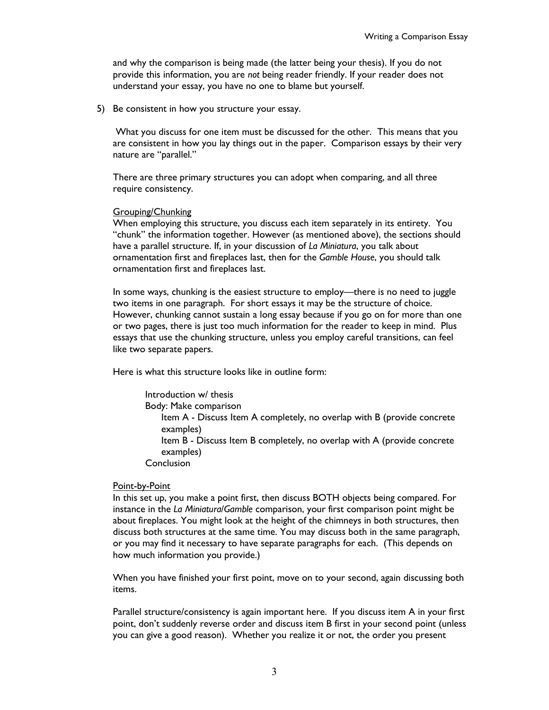and why the comparison is being made (the latter being your thesis). If you do not provide this information, you are *not* being reader friendly. If your reader does not understand your essay, you have no one to blame but yourself.

5) Be consistent in how you structure your essay.

What you discuss for one item must be discussed for the other. This means that you are consistent in how you lay things out in the paper. Comparison essays by their very nature are "parallel."

There are three primary structures you can adopt when comparing, and all three require consistency.

### Grouping/Chunking

When employing this structure, you discuss each item separately in its entirety. You "chunk" the information together. However (as mentioned above), the sections should have a parallel structure. If, in your discussion of *La Miniatura*, you talk about ornamentation first and fireplaces last, then for the *Gamble House*, you should talk ornamentation first and fireplaces last.

In some ways, chunking is the easiest structure to employ—there is no need to juggle two items in one paragraph. For short essays it may be the structure of choice. However, chunking cannot sustain a long essay because if you go on for more than one or two pages, there is just too much information for the reader to keep in mind. Plus essays that use the chunking structure, unless you employ careful transitions, can feel like two separate papers.

Here is what this structure looks like in outline form:

Introduction w/ thesis Body: Make comparison Item A - Discuss Item A completely, no overlap with B (provide concrete examples) Item B - Discuss Item B completely, no overlap with A (provide concrete examples) Conclusion

#### Point-by-Point

In this set up, you make a point first, then discuss BOTH objects being compared. For instance in the *La Miniatura*/*Gamble* comparison, your first comparison point might be about fireplaces. You might look at the height of the chimneys in both structures, then discuss both structures at the same time. You may discuss both in the same paragraph, or you may find it necessary to have separate paragraphs for each. (This depends on how much information you provide.)

When you have finished your first point, move on to your second, again discussing both items.

Parallel structure/consistency is again important here. If you discuss item A in your first point, don't suddenly reverse order and discuss item B first in your second point (unless you can give a good reason). Whether you realize it or not, the order you present